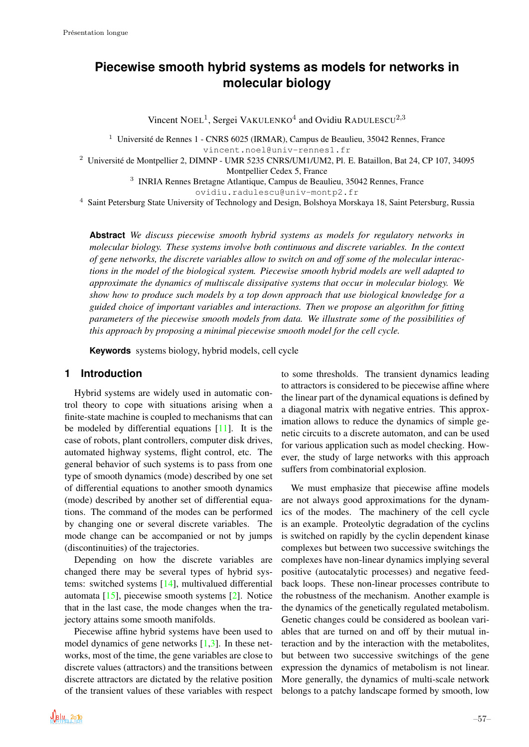# **Piecewise smooth hybrid systems as models for networks in molecular biology**

Vincent NOEL<sup>1</sup>, Sergei VAKULENKO<sup>4</sup> and Ovidiu RADULESCU<sup>2,3</sup>

<sup>1</sup> Université de Rennes 1 - CNRS 6025 (IRMAR), Campus de Beaulieu, 35042 Rennes, France vincent.noel@univ-rennes1.fr

<sup>2</sup> Universite de Montpellier 2, DIMNP - UMR 5235 CNRS/UM1/UM2, Pl. E. Bataillon, Bat 24, CP 107, 34095 ´ Montpellier Cedex 5, France

3 INRIA Rennes Bretagne Atlantique, Campus de Beaulieu, 35042 Rennes, France

ovidiu.radulescu@univ-montp2.fr

<sup>4</sup> Saint Petersburg State University of Technology and Design, Bolshoya Morskaya 18, Saint Petersburg, Russia

**Abstract** *We discuss piecewise smooth hybrid systems as models for regulatory networks in molecular biology. These systems involve both continuous and discrete variables. In the context of gene networks, the discrete variables allow to switch on and off some of the molecular interactions in the model of the biological system. Piecewise smooth hybrid models are well adapted to approximate the dynamics of multiscale dissipative systems that occur in molecular biology. We show how to produce such models by a top down approach that use biological knowledge for a guided choice of important variables and interactions. Then we propose an algorithm for fitting parameters of the piecewise smooth models from data. We illustrate some of the possibilities of this approach by proposing a minimal piecewise smooth model for the cell cycle.*

**Keywords** systems biology, hybrid models, cell cycle

### **1 Introduction**

Hybrid systems are widely used in automatic control theory to cope with situations arising when a finite-state machine is coupled to mechanisms that can be modeled by differential equations [11]. It is the case of robots, plant controllers, computer disk drives, automated highway systems, flight control, etc. The general behavior of such systems is to pass from one type of smooth dynamics (mode) described by one set of differential equations to another smooth dynamics (mode) described by another set of differential equations. The command of the modes can be performed by changing one or several discrete variables. The mode change can be accompanied or not by jumps (discontinuities) of the trajectories.

Depending on how the discrete variables are changed there may be several types of hybrid systems: switched systems [14], multivalued differential automata [15], piecewise smooth systems [2]. Notice that in the last case, the mode changes when the trajectory attains some smooth manifolds.

Piecewise affine hybrid systems have been used to model dynamics of gene networks  $[1,3]$ . In these networks, most of the time, the gene variables are close to discrete values (attractors) and the transitions between discrete attractors are dictated by the relative position of the transient values of these variables with respect to some thresholds. The transient dynamics leading to attractors is considered to be piecewise affine where the linear part of the dynamical equations is defined by a diagonal matrix with negative entries. This approximation allows to reduce the dynamics of simple genetic circuits to a discrete automaton, and can be used for various application such as model checking. However, the study of large networks with this approach suffers from combinatorial explosion.

We must emphasize that piecewise affine models are not always good approximations for the dynamics of the modes. The machinery of the cell cycle is an example. Proteolytic degradation of the cyclins is switched on rapidly by the cyclin dependent kinase complexes but between two successive switchings the complexes have non-linear dynamics implying several positive (autocatalytic processes) and negative feedback loops. These non-linear processes contribute to the robustness of the mechanism. Another example is the dynamics of the genetically regulated metabolism. Genetic changes could be considered as boolean variables that are turned on and off by their mutual interaction and by the interaction with the metabolites, but between two successive switchings of the gene expression the dynamics of metabolism is not linear. More generally, the dynamics of multi-scale network belongs to a patchy landscape formed by smooth, low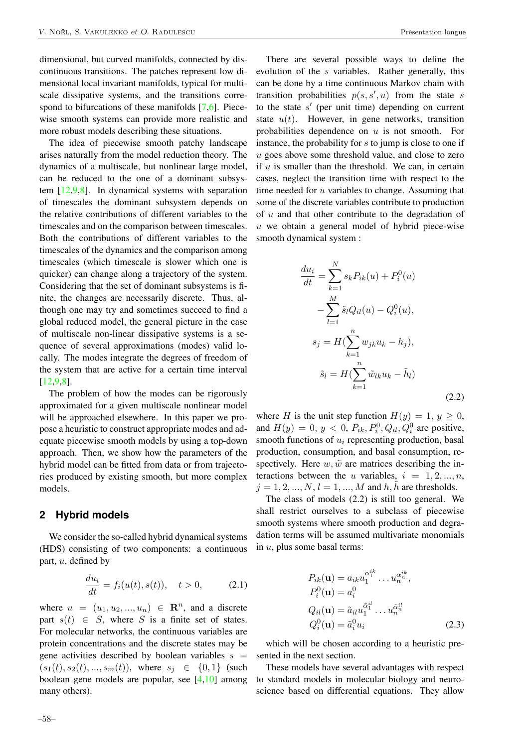dimensional, but curved manifolds, connected by discontinuous transitions. The patches represent low dimensional local invariant manifolds, typical for multiscale dissipative systems, and the transitions correspond to bifurcations of these manifolds [7,6]. Piecewise smooth systems can provide more realistic and more robust models describing these situations.

The idea of piecewise smooth patchy landscape arises naturally from the model reduction theory. The dynamics of a multiscale, but nonlinear large model, can be reduced to the one of a dominant subsystem [12,9,8]. In dynamical systems with separation of timescales the dominant subsystem depends on the relative contributions of different variables to the timescales and on the comparison between timescales. Both the contributions of different variables to the timescales of the dynamics and the comparison among timescales (which timescale is slower which one is quicker) can change along a trajectory of the system. Considering that the set of dominant subsystems is finite, the changes are necessarily discrete. Thus, although one may try and sometimes succeed to find a global reduced model, the general picture in the case of multiscale non-linear dissipative systems is a sequence of several approximations (modes) valid locally. The modes integrate the degrees of freedom of the system that are active for a certain time interval [12,9,8].

The problem of how the modes can be rigorously approximated for a given multiscale nonlinear model will be approached elsewhere. In this paper we propose a heuristic to construct appropriate modes and adequate piecewise smooth models by using a top-down approach. Then, we show how the parameters of the hybrid model can be fitted from data or from trajectories produced by existing smooth, but more complex models.

### **2 Hybrid models**

We consider the so-called hybrid dynamical systems (HDS) consisting of two components: a continuous part, u, defined by

$$
\frac{du_i}{dt} = f_i(u(t), s(t)), \quad t > 0,
$$
\n(2.1)

where  $u = (u_1, u_2, ..., u_n) \in \mathbb{R}^n$ , and a discrete part  $s(t) \in S$ , where S is a finite set of states. For molecular networks, the continuous variables are protein concentrations and the discrete states may be gene activities described by boolean variables  $s =$  $(s_1(t), s_2(t), ..., s_m(t))$ , where  $s_i \in \{0, 1\}$  (such boolean gene models are popular, see [4,10] among many others).

There are several possible ways to define the evolution of the s variables. Rather generally, this can be done by a time continuous Markov chain with transition probabilities  $p(s, s', u)$  from the state s to the state  $s'$  (per unit time) depending on current state  $u(t)$ . However, in gene networks, transition probabilities dependence on  $u$  is not smooth. For instance, the probability for  $s$  to jump is close to one if u goes above some threshold value, and close to zero if  $u$  is smaller than the threshold. We can, in certain cases, neglect the transition time with respect to the time needed for  $u$  variables to change. Assuming that some of the discrete variables contribute to production of  $u$  and that other contribute to the degradation of u we obtain a general model of hybrid piece-wise smooth dynamical system :

$$
\frac{du_i}{dt} = \sum_{k=1}^{N} s_k P_{ik}(u) + P_i^0(u) \n- \sum_{l=1}^{M} \tilde{s}_l Q_{il}(u) - Q_i^0(u), \ns_j = H(\sum_{k=1}^{n} w_{jk} u_k - h_j), \n\tilde{s}_l = H(\sum_{k=1}^{n} \tilde{w}_{lk} u_k - \tilde{h}_l)
$$
\n(2.2)

where H is the unit step function  $H(y) = 1, y \ge 0$ , and  $H(y) = 0, y < 0, P_{ik}, P_i^0, Q_{il}, Q_i^0$  are positive, smooth functions of  $u_i$  representing production, basal production, consumption, and basal consumption, respectively. Here  $w, \tilde{w}$  are matrices describing the interactions between the u variables,  $i = 1, 2, ..., n$ ,  $j = 1, 2, ..., N, l = 1, ..., M$  and h, h are thresholds.

The class of models (2.2) is still too general. We shall restrict ourselves to a subclass of piecewise smooth systems where smooth production and degradation terms will be assumed multivariate monomials in  $u$ , plus some basal terms:

$$
P_{ik}(\mathbf{u}) = a_{ik} u_1^{\alpha_1^{ik}} \dots u_n^{\alpha_n^{ik}},
$$
  
\n
$$
P_i^0(\mathbf{u}) = a_i^0
$$
  
\n
$$
Q_{il}(\mathbf{u}) = \tilde{a}_{il} u_1^{\tilde{\alpha}_1^{il}} \dots u_n^{\tilde{\alpha}_n^{il}}
$$
  
\n
$$
Q_i^0(\mathbf{u}) = \tilde{a}_i^0 u_i
$$
\n(2.3)

which will be chosen according to a heuristic presented in the next section.

These models have several advantages with respect to standard models in molecular biology and neuroscience based on differential equations. They allow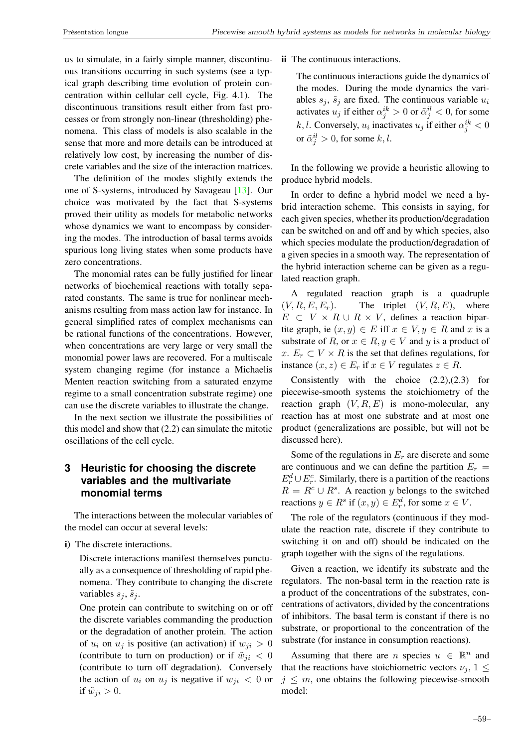us to simulate, in a fairly simple manner, discontinuous transitions occurring in such systems (see a typical graph describing time evolution of protein concentration within cellular cell cycle, Fig. 4.1). The discontinuous transitions result either from fast processes or from strongly non-linear (thresholding) phenomena. This class of models is also scalable in the sense that more and more details can be introduced at relatively low cost, by increasing the number of discrete variables and the size of the interaction matrices.

The definition of the modes slightly extends the one of S-systems, introduced by Savageau [13]. Our choice was motivated by the fact that S-systems proved their utility as models for metabolic networks whose dynamics we want to encompass by considering the modes. The introduction of basal terms avoids spurious long living states when some products have zero concentrations.

The monomial rates can be fully justified for linear networks of biochemical reactions with totally separated constants. The same is true for nonlinear mechanisms resulting from mass action law for instance. In general simplified rates of complex mechanisms can be rational functions of the concentrations. However, when concentrations are very large or very small the monomial power laws are recovered. For a multiscale system changing regime (for instance a Michaelis Menten reaction switching from a saturated enzyme regime to a small concentration substrate regime) one can use the discrete variables to illustrate the change.

In the next section we illustrate the possibilities of this model and show that (2.2) can simulate the mitotic oscillations of the cell cycle.

## **3 Heuristic for choosing the discrete variables and the multivariate monomial terms**

The interactions between the molecular variables of the model can occur at several levels:

i) The discrete interactions.

Discrete interactions manifest themselves punctually as a consequence of thresholding of rapid phenomena. They contribute to changing the discrete variables  $s_j$ ,  $\tilde{s}_j$ .

One protein can contribute to switching on or off the discrete variables commanding the production or the degradation of another protein. The action of  $u_i$  on  $u_j$  is positive (an activation) if  $w_{ji} > 0$ (contribute to turn on production) or if  $\tilde{w}_{ji} < 0$ (contribute to turn off degradation). Conversely the action of  $u_i$  on  $u_j$  is negative if  $w_{ji} < 0$  or if  $\tilde{w}_{ji} > 0$ .

#### ii The continuous interactions.

The continuous interactions guide the dynamics of the modes. During the mode dynamics the variables  $s_j$ ,  $\tilde{s}_j$  are fixed. The continuous variable  $u_i$ activates  $u_j$  if either  $\alpha_j^{ik} > 0$  or  $\tilde{\alpha}_j^{il} < 0$ , for some k, l. Conversely,  $u_i$  inactivates  $u_j$  if either  $\alpha_j^{ik} < 0$ or  $\tilde{\alpha}_j^{il} > 0$ , for some k, l.

In the following we provide a heuristic allowing to produce hybrid models.

In order to define a hybrid model we need a hybrid interaction scheme. This consists in saying, for each given species, whether its production/degradation can be switched on and off and by which species, also which species modulate the production/degradation of a given species in a smooth way. The representation of the hybrid interaction scheme can be given as a regulated reaction graph.

A regulated reaction graph is a quadruple  $(V, R, E, E_r)$ . The triplet  $(V, R, E)$ , where  $E \subset V \times R \cup R \times V$ , defines a reaction bipartite graph, ie  $(x, y) \in E$  iff  $x \in V, y \in R$  and x is a substrate of R, or  $x \in R$ ,  $y \in V$  and y is a product of x.  $E_r \subset V \times R$  is the set that defines regulations, for instance  $(x, z) \in E_r$  if  $x \in V$  regulates  $z \in R$ .

Consistently with the choice  $(2.2),(2.3)$  for piecewise-smooth systems the stoichiometry of the reaction graph  $(V, R, E)$  is mono-molecular, any reaction has at most one substrate and at most one product (generalizations are possible, but will not be discussed here).

Some of the regulations in  $E_r$  are discrete and some are continuous and we can define the partition  $E_r =$  $E_r^d \cup E_r^c$ . Similarly, there is a partition of the reactions  $R = R^c \cup R^s$ . A reaction y belongs to the switched reactions  $y \in R^s$  if  $(x, y) \in E_r^d$ , for some  $x \in V$ .

The role of the regulators (continuous if they modulate the reaction rate, discrete if they contribute to switching it on and off) should be indicated on the graph together with the signs of the regulations.

Given a reaction, we identify its substrate and the regulators. The non-basal term in the reaction rate is a product of the concentrations of the substrates, concentrations of activators, divided by the concentrations of inhibitors. The basal term is constant if there is no substrate, or proportional to the concentration of the substrate (for instance in consumption reactions).

Assuming that there are *n* species  $u \in \mathbb{R}^n$  and that the reactions have stoichiometric vectors  $\nu_i$ ,  $1 \leq$  $j \leq m$ , one obtains the following piecewise-smooth model: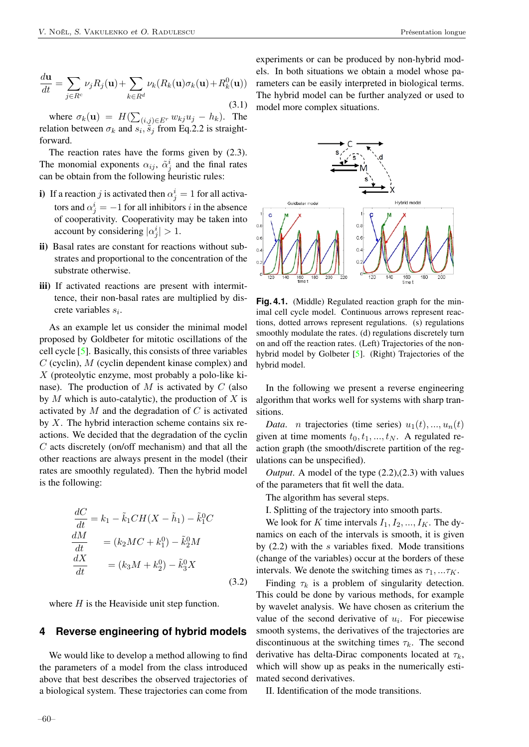$$
\frac{d\mathbf{u}}{dt} = \sum_{j \in R^c} \nu_j R_j(\mathbf{u}) + \sum_{k \in R^d} \nu_k(R_k(\mathbf{u})\sigma_k(\mathbf{u}) + R_k^0(\mathbf{u}))
$$
\n(3.1)

where  $\sigma_k(\mathbf{u}) = H(\sum_{(i,j)\in E^r} w_{kj}u_j - h_k)$ . The relation between  $\sigma_k$  and  $s_i$ ,  $\tilde{s}_j$  from Eq.2.2 is straightforward.

The reaction rates have the forms given by  $(2.3)$ . The monomial exponents  $\alpha_{ij}$ ,  $\tilde{\alpha}_j^i$  and the final rates can be obtain from the following heuristic rules:

- i) If a reaction j is activated then  $\alpha_j^i = 1$  for all activators and  $\alpha_j^i = -1$  for all inhibitors i in the absence of cooperativity. Cooperativity may be taken into account by considering  $|\alpha_j^i| > 1$ .
- ii) Basal rates are constant for reactions without substrates and proportional to the concentration of the substrate otherwise.
- iii) If activated reactions are present with intermittence, their non-basal rates are multiplied by discrete variables  $s_i$ .

As an example let us consider the minimal model proposed by Goldbeter for mitotic oscillations of the cell cycle [5]. Basically, this consists of three variables  $C$  (cyclin),  $M$  (cyclin dependent kinase complex) and X (proteolytic enzyme, most probably a polo-like kinase). The production of  $M$  is activated by  $C$  (also by  $M$  which is auto-catalytic), the production of  $X$  is activated by  $M$  and the degradation of  $C$  is activated by  $X$ . The hybrid interaction scheme contains six reactions. We decided that the degradation of the cyclin C acts discretely (on/off mechanism) and that all the other reactions are always present in the model (their rates are smoothly regulated). Then the hybrid model is the following:

$$
\frac{dC}{dt} = k_1 - \tilde{k}_1 CH(X - \tilde{h}_1) - \tilde{k}_1^0 C
$$
\n
$$
\frac{dM}{dt} = (k_2 MC + k_1^0) - \tilde{k}_2^0 M
$$
\n
$$
\frac{dX}{dt} = (k_3 M + k_2^0) - \tilde{k}_3^0 X
$$
\n(3.2)

where  $H$  is the Heaviside unit step function.

#### **4 Reverse engineering of hybrid models**

We would like to develop a method allowing to find the parameters of a model from the class introduced above that best describes the observed trajectories of a biological system. These trajectories can come from

experiments or can be produced by non-hybrid models. In both situations we obtain a model whose parameters can be easily interpreted in biological terms. The hybrid model can be further analyzed or used to model more complex situations.



**Fig. 4.1**. (Middle) Regulated reaction graph for the minimal cell cycle model. Continuous arrows represent reactions, dotted arrows represent regulations. (s) regulations smoothly modulate the rates. (d) regulations discretely turn on and off the reaction rates. (Left) Trajectories of the nonhybrid model by Golbeter [5]. (Right) Trajectories of the hybrid model.

In the following we present a reverse engineering algorithm that works well for systems with sharp transitions.

*Data. n* trajectories (time series)  $u_1(t),...,u_n(t)$ given at time moments  $t_0, t_1, \ldots, t_N$ . A regulated reaction graph (the smooth/discrete partition of the regulations can be unspecified).

*Output*. A model of the type (2.2),(2.3) with values of the parameters that fit well the data.

The algorithm has several steps.

I. Splitting of the trajectory into smooth parts.

We look for K time intervals  $I_1, I_2, ..., I_K$ . The dynamics on each of the intervals is smooth, it is given by  $(2.2)$  with the s variables fixed. Mode transitions (change of the variables) occur at the borders of these intervals. We denote the switching times as  $\tau_1, \ldots \tau_K$ .

Finding  $\tau_k$  is a problem of singularity detection. This could be done by various methods, for example by wavelet analysis. We have chosen as criterium the value of the second derivative of  $u_i$ . For piecewise smooth systems, the derivatives of the trajectories are discontinuous at the switching times  $\tau_k$ . The second derivative has delta-Dirac components located at  $\tau_k$ , which will show up as peaks in the numerically estimated second derivatives.

II. Identification of the mode transitions.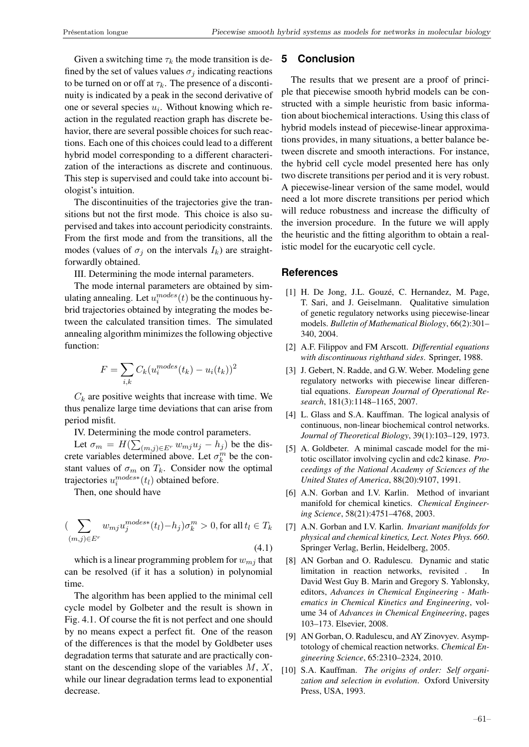Given a switching time  $\tau_k$  the mode transition is defined by the set of values values  $\sigma_i$  indicating reactions to be turned on or off at  $\tau_k$ . The presence of a discontinuity is indicated by a peak in the second derivative of one or several species  $u_i$ . Without knowing which reaction in the regulated reaction graph has discrete behavior, there are several possible choices for such reactions. Each one of this choices could lead to a different hybrid model corresponding to a different characterization of the interactions as discrete and continuous. This step is supervised and could take into account biologist's intuition.

The discontinuities of the trajectories give the transitions but not the first mode. This choice is also supervised and takes into account periodicity constraints. From the first mode and from the transitions, all the modes (values of  $\sigma_i$  on the intervals  $I_k$ ) are straightforwardly obtained.

III. Determining the mode internal parameters.

The mode internal parameters are obtained by simulating annealing. Let  $u_i^{modes}(t)$  be the continuous hybrid trajectories obtained by integrating the modes between the calculated transition times. The simulated annealing algorithm minimizes the following objective function:

$$
F = \sum_{i,k} C_k (u_i^{modes}(t_k) - u_i(t_k))^2
$$

 $C_k$  are positive weights that increase with time. We thus penalize large time deviations that can arise from period misfit.

IV. Determining the mode control parameters.

Let  $\sigma_m = H(\sum_{(m,j)\in E^r} w_{mj}u_j - h_j)$  be the discrete variables determined above. Let  $\sigma_k^m$  be the constant values of  $\sigma_m$  on  $T_k$ . Consider now the optimal trajectories  $u_i^{modes*}(t_i)$  obtained before.

Then, one should have

$$
\sum_{(m,j)\in E^r} w_{mj} u_j^{modes*}(t_l) - h_j)\sigma_k^m > 0, \text{ for all } t_l \in T_k
$$
\n
$$
(4.1)
$$

which is a linear programming problem for  $w_{mj}$  that can be resolved (if it has a solution) in polynomial time.

The algorithm has been applied to the minimal cell cycle model by Golbeter and the result is shown in Fig. 4.1. Of course the fit is not perfect and one should by no means expect a perfect fit. One of the reason of the differences is that the model by Goldbeter uses degradation terms that saturate and are practically constant on the descending slope of the variables  $M, X$ , while our linear degradation terms lead to exponential decrease.

#### **5 Conclusion**

The results that we present are a proof of principle that piecewise smooth hybrid models can be constructed with a simple heuristic from basic information about biochemical interactions. Using this class of hybrid models instead of piecewise-linear approximations provides, in many situations, a better balance between discrete and smooth interactions. For instance, the hybrid cell cycle model presented here has only two discrete transitions per period and it is very robust. A piecewise-linear version of the same model, would need a lot more discrete transitions per period which will reduce robustness and increase the difficulty of the inversion procedure. In the future we will apply the heuristic and the fitting algorithm to obtain a realistic model for the eucaryotic cell cycle.

#### **References**

- [1] H. De Jong, J.L. Gouzé, C. Hernandez, M. Page, T. Sari, and J. Geiselmann. Qualitative simulation of genetic regulatory networks using piecewise-linear models. *Bulletin of Mathematical Biology*, 66(2):301– 340, 2004.
- [2] A.F. Filippov and FM Arscott. *Differential equations with discontinuous righthand sides*. Springer, 1988.
- [3] J. Gebert, N. Radde, and G.W. Weber. Modeling gene regulatory networks with piecewise linear differential equations. *European Journal of Operational Research*, 181(3):1148–1165, 2007.
- [4] L. Glass and S.A. Kauffman. The logical analysis of continuous, non-linear biochemical control networks. *Journal of Theoretical Biology*, 39(1):103–129, 1973.
- [5] A. Goldbeter. A minimal cascade model for the mitotic oscillator involving cyclin and cdc2 kinase. *Proceedings of the National Academy of Sciences of the United States of America*, 88(20):9107, 1991.
- [6] A.N. Gorban and I.V. Karlin. Method of invariant manifold for chemical kinetics. *Chemical Engineering Science*, 58(21):4751–4768, 2003.
- [7] A.N. Gorban and I.V. Karlin. *Invariant manifolds for physical and chemical kinetics, Lect. Notes Phys. 660*. Springer Verlag, Berlin, Heidelberg, 2005.
- [8] AN Gorban and O. Radulescu. Dynamic and static limitation in reaction networks, revisited . In David West Guy B. Marin and Gregory S. Yablonsky, editors, *Advances in Chemical Engineering - Mathematics in Chemical Kinetics and Engineering*, volume 34 of *Advances in Chemical Engineering*, pages 103–173. Elsevier, 2008.
- [9] AN Gorban, O. Radulescu, and AY Zinovyev. Asymptotology of chemical reaction networks. *Chemical Engineering Science*, 65:2310–2324, 2010.
- [10] S.A. Kauffman. *The origins of order: Self organization and selection in evolution*. Oxford University Press, USA, 1993.